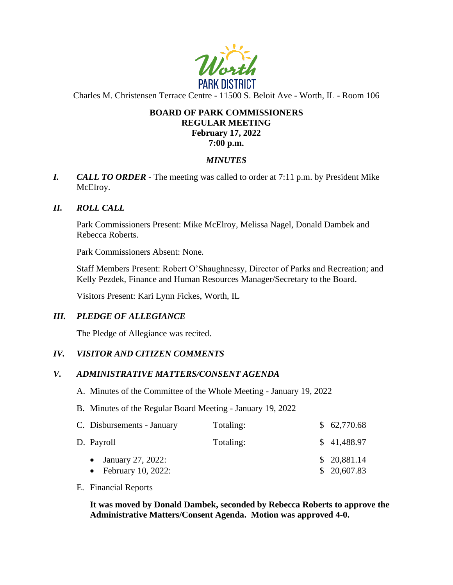

Charles M. Christensen Terrace Centre - 11500 S. Beloit Ave - Worth, IL - Room 106

#### **BOARD OF PARK COMMISSIONERS REGULAR MEETING February 17, 2022 7:00 p.m.**

### *MINUTES*

*I. CALL TO ORDER* - The meeting was called to order at 7:11 p.m. by President Mike McElroy.

### *II. ROLL CALL*

Park Commissioners Present: Mike McElroy, Melissa Nagel, Donald Dambek and Rebecca Roberts.

Park Commissioners Absent: None.

Staff Members Present: Robert O'Shaughnessy, Director of Parks and Recreation; and Kelly Pezdek, Finance and Human Resources Manager/Secretary to the Board.

Visitors Present: Kari Lynn Fickes, Worth, IL

#### *III. PLEDGE OF ALLEGIANCE*

The Pledge of Allegiance was recited.

#### *IV. VISITOR AND CITIZEN COMMENTS*

#### *V. ADMINISTRATIVE MATTERS/CONSENT AGENDA*

- A. Minutes of the Committee of the Whole Meeting January 19, 2022
- B. Minutes of the Regular Board Meeting January 19, 2022

| C. Disbursements - January                  | Totaling: | \$62,770.68                |
|---------------------------------------------|-----------|----------------------------|
| D. Payroll                                  | Totaling: | \$41,488.97                |
| • January 27, 2022:<br>• February 10, 2022: |           | \$20,881.14<br>\$20,607.83 |

E. Financial Reports

**It was moved by Donald Dambek, seconded by Rebecca Roberts to approve the Administrative Matters/Consent Agenda. Motion was approved 4-0.**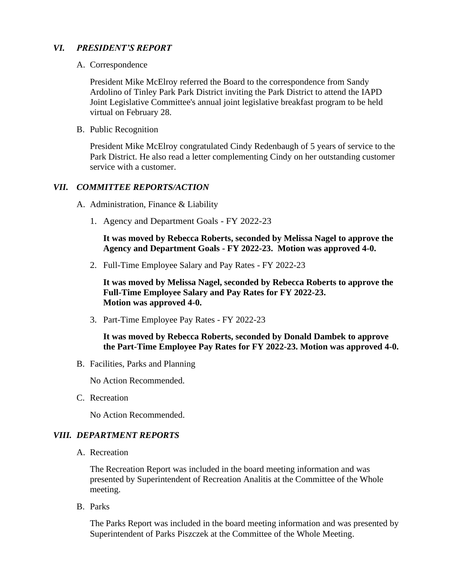## *VI. PRESIDENT'S REPORT*

A. Correspondence

President Mike McElroy referred the Board to the correspondence from Sandy Ardolino of Tinley Park Park District inviting the Park District to attend the IAPD Joint Legislative Committee's annual joint legislative breakfast program to be held virtual on February 28.

B. Public Recognition

President Mike McElroy congratulated Cindy Redenbaugh of 5 years of service to the Park District. He also read a letter complementing Cindy on her outstanding customer service with a customer.

## *VII. COMMITTEE REPORTS/ACTION*

A. Administration, Finance & Liability

1. Agency and Department Goals - FY 2022-23

**It was moved by Rebecca Roberts, seconded by Melissa Nagel to approve the Agency and Department Goals - FY 2022-23. Motion was approved 4-0.**

2. Full-Time Employee Salary and Pay Rates - FY 2022-23

**It was moved by Melissa Nagel, seconded by Rebecca Roberts to approve the Full-Time Employee Salary and Pay Rates for FY 2022-23. Motion was approved 4-0.** 

3. Part-Time Employee Pay Rates - FY 2022-23

**It was moved by Rebecca Roberts, seconded by Donald Dambek to approve the Part-Time Employee Pay Rates for FY 2022-23. Motion was approved 4-0.** 

B. Facilities, Parks and Planning

No Action Recommended.

C. Recreation

No Action Recommended.

## *VIII. DEPARTMENT REPORTS*

A. Recreation

The Recreation Report was included in the board meeting information and was presented by Superintendent of Recreation Analitis at the Committee of the Whole meeting.

B. Parks

The Parks Report was included in the board meeting information and was presented by Superintendent of Parks Piszczek at the Committee of the Whole Meeting.